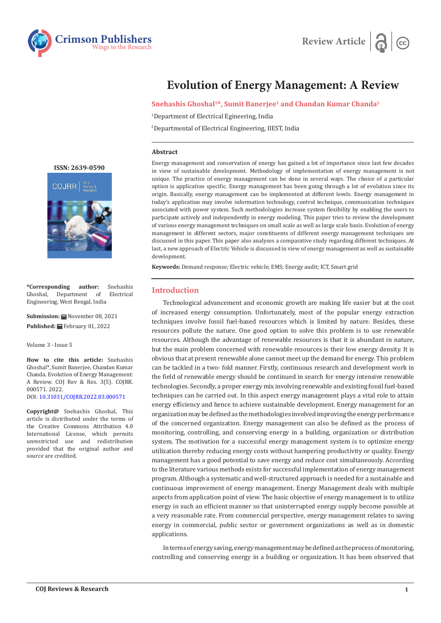



# **Evolution of Energy Management: A Review**

**Snehashis Ghoshal1\*, Sumit Banerjee1 and Chandan Kumar Chanda2**

1 Department of Electrical Egineering, India

2 Departmental of Electrical Engineering, IIEST, India

#### **Abstract**

Energy management and conservation of energy has gained a lot of importance since last few decades in view of sustainable development. Methodology of implementation of energy management is not unique. The practice of energy management can be done in several ways. The choice of a particular option is application specific. Energy management has been going through a lot of evolution since its origin. Basically, energy management can be implemented at different levels. Energy management in today's application may involve information technology, control technique, communication techniques associated with power system. Such methodologies increase system flexibility by enabling the users to participate actively and independently in energy modeling. This paper tries to review the development of various energy management techniques on small scale as well as large scale basis. Evolution of energy management in different sectors, major constituents of different energy management techniques are discussed in this paper. This paper also analyses a comparative study regarding different techniques. At last, a new approach of Electric Vehicle is discussed in view of energy management as well as sustainable development.

**Keywords:** Demand response; Electric vehicle; EMS; Energy audit; ICT, Smart grid

# **Introduction**

Technological advancement and economic growth are making life easier but at the cost of increased energy consumption. Unfortunately, most of the popular energy extraction techniques involve fossil fuel-based resources which is limited by nature. Besides, these resources pollute the nature. One good option to solve this problem is to use renewable resources. Although the advantage of renewable resources is that it is abundant in nature, but the main problem concerned with renewable resources is their low energy density. It is obvious that at present renewable alone cannot meet up the demand for energy. This problem can be tackled in a two- fold manner. Firstly, continuous research and development work in the field of renewable energy should be continued in search for energy intensive renewable technologies. Secondly, a proper energy mix involving renewable and existing fossil fuel-based techniques can be carried out. In this aspect energy management plays a vital role to attain energy efficiency and hence to achieve sustainable development. Energy management for an organization may be defined as the methodologies involved improving the energy performance of the concerned organization. Energy management can also be defined as the process of monitoring, controlling, and conserving energy in a building, organization or distribution system. The motivation for a successful energy management system is to optimize energy utilization thereby reducing energy costs without hampering productivity or quality. Energy management has a good potential to save energy and reduce cost simultaneously. According to the literature various methods exists for successful implementation of energy management program. Although a systematic and well-structured approach is needed for a sustainable and continuous improvement of energy management. Energy Management deals with multiple aspects from application point of view. The basic objective of energy management is to utilize energy in such an efficient manner so that uninterrupted energy supply become possible at a very reasonable rate. From commercial perspective, energy management relates to saving energy in commercial, public sector or government organizations as well as in domestic applications.

In terms of energy saving, energy management may be defined as the process of monitoring, controlling and conserving energy in a building or organization. It has been observed that



**\*Corresponding author:** Snehashis Department of Engineering, West Bengal, India

**Submission:** November 08, 2021 **Published:** February 01, 2022

Volume 3 - Issue 5

**How to cite this article:** Snehashis Ghoshal\*, Sumit Banerjee, Chandan Kumar Chanda. Evolution of Energy Management: A Review. COJ Rev & Res. 3(5). COJRR. 000571. 2022. DOI: [10.31031/COJRR.2022.03.00057](http://dx.doi.org/10.31031/COJRR.2022.03.000571)1

**Copyright@** Snehashis Ghoshal, This article is distributed under the terms of the Creative Commons Attribution 4.0 International License, which permits unrestricted use and redistribution provided that the original author and source are credited.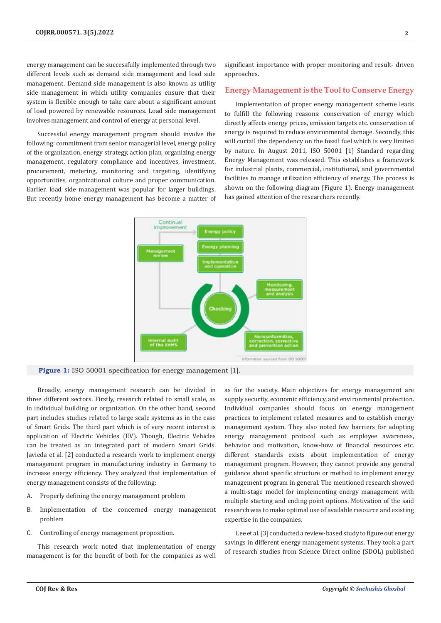energy management can be successfully implemented through two different levels such as demand side management and load side management. Demand side management is also known as utility side management in which utility companies ensure that their system is flexible enough to take care about a significant amount of load powered by renewable resources. Load side management involves management and control of energy at personal level.

Successful energy management program should involve the following: commitment from senior managerial level, energy policy of the organization, energy strategy, action plan, organizing energy management, regulatory compliance and incentives, investment, procurement, metering, monitoring and targeting, identifying opportunities, organizational culture and proper communication. Earlier, load side management was popular for larger buildings. But recently home energy management has become a matter of significant importance with proper monitoring and result- driven approaches.

# **Energy Management is the Tool to Conserve Energy**

Implementation of proper energy management scheme leads to fulfill the following reasons: conservation of energy which directly affects energy prices, emission targets etc. conservation of energy is required to reduce environmental damage. Secondly, this will curtail the dependency on the fossil fuel which is very limited by nature. In August 2011, ISO 50001 [1] Standard regarding Energy Management was released. This establishes a framework for industrial plants, commercial, institutional, and governmental facilities to manage utilization efficiency of energy. The process is shown on the following diagram (Figure 1). Energy management has gained attention of the researchers recently.



Figure 1: ISO 50001 specification for energy management [1].

Broadly, energy management research can be divided in three different sectors. Firstly, research related to small scale, as in individual building or organization. On the other hand, second part includes studies related to large scale systems as in the case of Smart Grids. The third part which is of very recent interest is application of Electric Vehicles (EV). Though, Electric Vehicles can be treated as an integrated part of modern Smart Grids. Javieda et al. [2] conducted a research work to implement energy management program in manufacturing industry in Germany to increase energy efficiency. They analyzed that implementation of energy management consists of the following:

- A. Properly defining the energy management problem
- B. Implementation of the concerned energy management problem
- C. Controlling of energy management proposition.

This research work noted that implementation of energy management is for the benefit of both for the companies as well as for the society. Main objectives for energy management are supply security, economic efficiency, and environmental protection. Individual companies should focus on energy management practices to implement related measures and to establish energy management system. They also noted few barriers for adopting energy management protocol such as employee awareness, behavior and motivation, know-how of financial resources etc. different standards exists about implementation of energy management program. However, they cannot provide any general guidance about specific structure or method to implement energy management program in general. The mentioned research showed a multi-stage model for implementing energy management with multiple starting and ending point options. Motivation of the said research was to make optimal use of available resource and existing expertise in the companies.

Lee et al. [3] conducted a review-based study to figure out energy savings in different energy management systems. They took a part of research studies from Science Direct online (SDOL) published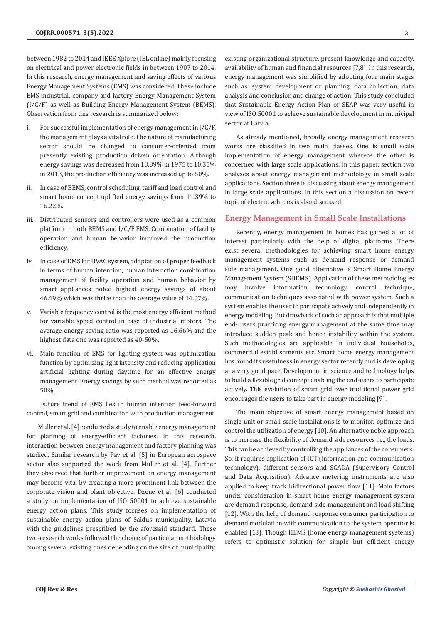between 1982 to 2014 and IEEE Xplore (IEL online) mainly focusing on electrical and power electronic fields in between 1907 to 2014. In this research, energy management and saving effects of various Energy Management Systems (EMS) was considered. These include EMS industrial, company and factory Energy Management System (I/C/F) as well as Building Energy Management System (BEMS). Observation from this research is summarized below:

- i. For successful implementation of energy management in I/C/F, the management plays a vital role. The nature of manufacturing sector should be changed to consumer-oriented from presently existing production driven orientation. Although energy savings was decreased from 18.89% in 1975 to 10.35% in 2013, the production efficiency was increased up to 50%.
- ii. In case of BEMS, control scheduling, tariff and load control and smart home concept uplifted energy savings from 11.39% to 16.22%.
- iii. Distributed sensors and controllers were used as a common platform in both BEMS and I/C/F EMS. Combination of facility operation and human behavior improved the production efficiency.
- iv. In case of EMS for HVAC system, adaptation of proper feedback in terms of human intention, human interaction combination management of facility operation and human behavior by smart appliances noted highest energy savings of about 46.49% which was thrice than the average value of 14.07%.
- v. Variable frequency control is the most energy efficient method for variable speed control in case of industrial motors. The average energy saving ratio was reported as 16.66% and the highest data one was reported as 40-50%.
- vi. Main function of EMS for lighting system was optimization function by optimizing light intensity and reducing application artificial lighting during daytime for an effective energy management. Energy savings by such method was reported as 50%.

 Future trend of EMS lies in human intention feed-forward control, smart grid and combination with production management.

Muller et al. [4] conducted a study to enable energy management for planning of energy-efficient factories. In this research, interaction between energy management and factory planning was studied. Similar research by Pav et al. [5] in European aerospace sector also supported the work from Muller et al. [4]. Further they observed that further improvement on energy management may become vital by creating a more prominent link between the corporate vision and plant objective. Dzene et al. [6] conducted a study on implementation of ISO 50001 to achieve sustainable energy action plans. This study focuses on implementation of sustainable energy action plans of Saldus municipality, Latavia with the guidelines prescribed by the aforesaid standard. These two-research works followed the choice of particular methodology among several existing ones depending on the size of municipality, existing organizational structure, present knowledge and capacity, availability of human and financial resources [7,8]. In this research, energy management was simplified by adopting four main stages such as: system development or planning, data collection, data analysis and conclusion and change of action. This study concluded that Sustainable Energy Action Plan or SEAP was very useful in view of ISO 50001 to achieve sustainable development in municipal sector at Latvia.

As already mentioned, broadly energy management research works are classified in two main classes. One is small scale implementation of energy management whereas the other is concerned with large scale applications. In this paper, section two analyses about energy management methodology in small scale applications. Section three is discussing about energy management in large scale applications. In this section a discussion on recent topic of electric vehicles is also discussed.

#### **Energy Management in Small Scale Installations**

Recently, energy management in homes has gained a lot of interest particularly with the help of digital platforms. There exist several methodologies for achieving smart home energy management systems such as demand response or demand side management. One good alternative is Smart Home Energy Management System (SHEMS). Application of these methodologies may involve information technology, control technique, communication techniques associated with power system. Such a system enables the user to participate actively and independently in energy modeling. But drawback of such an approach is that multiple end- users practicing energy management at the same time may introduce sudden peak and hence instability within the system. Such methodologies are applicable in individual households, commercial establishments etc. Smart home energy management has found its usefulness in energy sector recently and is developing at a very good pace. Development in science and technology helps to build a flexible grid concept enabling the end-users to participate actively. This evolution of smart grid over traditional power grid encourages the users to take part in energy modeling [9].

The main objective of smart energy management based on single unit or small-scale installations is to monitor, optimize and control the utilization of energy [10]. An alternative noble approach is to increase the flexibility of demand side resources i.e., the loads. This can be achieved by controlling the appliances of the consumers. So, it requires application of ICT (information and communication technology), different sensors and SCADA (Supervisory Control and Data Acquisition). Advance metering instruments are also applied to keep track bidirectional power flow [11]. Main factors under consideration in smart home energy management system are demand response, demand side management and load shifting [12]. With the help of demand response consumer participation to demand modulation with communication to the system operator is enabled [13]. Though HEMS (home energy management systems) refers to optimistic solution for simple but efficient energy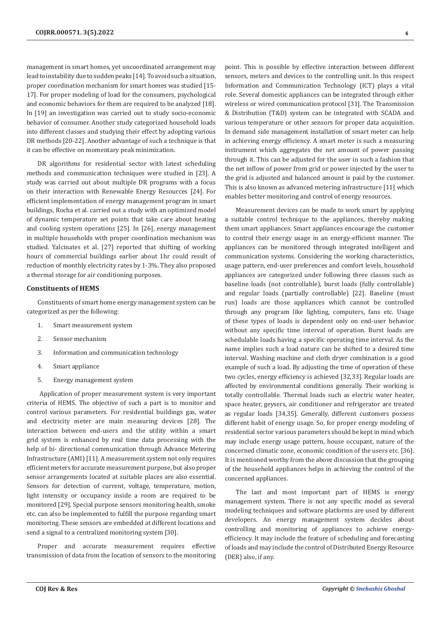management in smart homes, yet uncoordinated arrangement may lead to instability due to sudden peaks [14]. To avoid such a situation, proper coordination mechanism for smart homes was studied [15- 17]. For proper modeling of load for the consumers, psychological and economic behaviors for them are required to be analyzed [18]. In [19] an investigation was carried out to study socio-economic behavior of consumer. Another study categorized household loads into different classes and studying their effect by adopting various DR methods [20-22]. Another advantage of such a technique is that it can be effective on momentary peak minimization.

DR algorithms for residential sector with latest scheduling methods and communication techniques were studied in [23]. A study was carried out about multiple DR programs with a focus on their interaction with Renewable Energy Resources [24]. For efficient implementation of energy management program in smart buildings, Rocha et al. carried out a study with an optimized model of dynamic temperature set points that take care about heating and cooling system operations [25]. In [26], energy management in multiple households with proper coordination mechanism was studied. Yalcinates et al. [27] reported that shifting of working hours of commercial buildings earlier about 1hr could result of reduction of monthly electricity rates by 1-3%. They also proposed a thermal storage for air conditioning purposes.

#### **Constituents of HEMS**

Constituents of smart home energy management system can be categorized as per the following:

- 1. Smart measurement system
- 2. Sensor mechanism
- 3. Information and communication technology
- 4. Smart appliance
- 5. Energy management system

 Application of proper measurement system is very important criteria of HEMS. The objective of such a part is to monitor and control various parameters. For residential buildings gas, water and electricity meter are main measuring devices [28]. The interaction between end-users and the utility within a smart grid system is enhanced by real time data processing with the help of bi- directional communication through Advance Metering Infrastructure (AMI) [11]. A measurement system not only requires efficient meters for accurate measurement purpose, but also proper sensor arrangements located at suitable places are also essential. Sensors for detection of current, voltage, temperature, motion, light intensity or occupancy inside a room are required to be monitored [29]. Special purpose sensors monitoring health, smoke etc. can also be implemented to fulfill the purpose regarding smart monitoring. These sensors are embedded at different locations and send a signal to a centralized monitoring system [30].

Proper and accurate measurement requires effective transmission of data from the location of sensors to the monitoring point. This is possible by effective interaction between different sensors, meters and devices to the controlling unit. In this respect Information and Communication Technology (ICT) plays a vital role. Several domestic appliances can be integrated through either wireless or wired communication protocol [31]. The Transmission & Distribution (T&D) system can be integrated with SCADA and various temperature or other sensors for proper data acquisition. In demand side management installation of smart meter can help in achieving energy efficiency. A smart meter is such a measuring instrument which aggregates the net amount of power passing through it. This can be adjusted for the user in such a fashion that the net inflow of power from grid or power injected by the user to the grid is adjusted and balanced amount is paid by the customer. This is also known as advanced metering infrastructure [11] which enables better monitoring and control of energy resources.

Measurement devices can be made to work smart by applying a suitable control technique to the appliances, thereby making them smart appliances. Smart appliances encourage the customer to control their energy usage in an energy-efficient manner. The appliances can be monitored through integrated intelligent and communication systems. Considering the working characteristics, usage pattern, end-user preferences and comfort levels, household appliances are categorized under following three classes such as baseline loads (not controllable), burst loads (fully controllable) and regular loads (partially controllable) [22]. Baseline (must run) loads are those appliances which cannot be controlled through any program like lighting, computers, fans etc. Usage of these types of loads is dependent only on end-user behavior without any specific time interval of operation. Burst loads are schedulable loads having a specific operating time interval. As the name implies such a load nature can be shifted to a desired time interval. Washing machine and cloth dryer combination is a good example of such a load. By adjusting the time of operation of these two cycles, energy efficiency is achieved [32,33]. Regular loads are affected by environmental conditions generally. Their working is totally controllable. Thermal loads such as electric water heater, space heater, geysers, air conditioner and refrigerator are treated as regular loads [34,35]. Generally, different customers possess different habit of energy usage. So, for proper energy modeling of residential sector various parameters should be kept in mind which may include energy usage pattern, house occupant, nature of the concerned climatic zone, economic condition of the users etc. [36]. It is mentioned worthy from the above discussion that the grouping of the household appliances helps in achieving the control of the concerned appliances.

The last and most important part of HEMS is energy management system. There is not any specific model as several modeling techniques and software platforms are used by different developers. An energy management system decides about controlling and monitoring of appliances to achieve energyefficiency. It may include the feature of scheduling and forecasting of loads and may include the control of Distributed Energy Resource (DER) also, if any.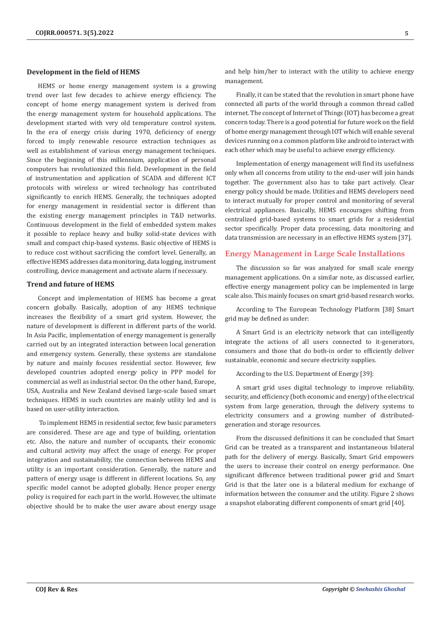#### **Development in the field of HEMS**

HEMS or home energy management system is a growing trend over last few decades to achieve energy efficiency. The concept of home energy management system is derived from the energy management system for household applications. The development started with very old temperature control system. In the era of energy crisis during 1970, deficiency of energy forced to imply renewable resource extraction techniques as well as establishment of various energy management techniques. Since the beginning of this millennium, application of personal computers has revolutionized this field. Development in the field of instrumentation and application of SCADA and different ICT protocols with wireless or wired technology has contributed significantly to enrich HEMS. Generally, the techniques adopted for energy management in residential sector is different than the existing energy management principles in T&D networks. Continuous development in the field of embedded system makes it possible to replace heavy and bulky solid-state devices with small and compact chip-based systems. Basic objective of HEMS is to reduce cost without sacrificing the comfort level. Generally, an effective HEMS addresses data monitoring, data logging, instrument controlling, device management and activate alarm if necessary.

#### **Trend and future of HEMS**

Concept and implementation of HEMS has become a great concern globally. Basically, adoption of any HEMS technique increases the flexibility of a smart grid system. However, the nature of development is different in different parts of the world. In Asia Pacific, implementation of energy management is generally carried out by an integrated interaction between local generation and emergency system. Generally, these systems are standalone by nature and mainly focuses residential sector. However, few developed countries adopted energy policy in PPP model for commercial as well as industrial sector. On the other hand, Europe, USA, Australia and New Zealand devised large-scale based smart techniques. HEMS in such countries are mainly utility led and is based on user-utility interaction.

 To implement HEMS in residential sector, few basic parameters are considered. These are age and type of building, orientation etc. Also, the nature and number of occupants, their economic and cultural activity may affect the usage of energy. For proper integration and sustainability, the connection between HEMS and utility is an important consideration. Generally, the nature and pattern of energy usage is different in different locations. So, any specific model cannot be adopted globally. Hence proper energy policy is required for each part in the world. However, the ultimate objective should be to make the user aware about energy usage and help him/her to interact with the utility to achieve energy management.

Finally, it can be stated that the revolution in smart phone have connected all parts of the world through a common thread called internet. The concept of Internet of Things (IOT) has become a great concern today. There is a good potential for future work on the field of home energy management through IOT which will enable several devices running on a common platform like android to interact with each other which may be useful to achieve energy efficiency.

Implementation of energy management will find its usefulness only when all concerns from utility to the end-user will join hands together. The government also has to take part actively. Clear energy policy should be made. Utilities and HEMS developers need to interact mutually for proper control and monitoring of several electrical appliances. Basically, HEMS encourages shifting from centralized grid-based systems to smart grids for a residential sector specifically. Proper data processing, data monitoring and data transmission are necessary in an effective HEMS system [37].

# **Energy Management in Large Scale Installations**

The discussion so far was analyzed for small scale energy management applications. On a similar note, as discussed earlier, effective energy management policy can be implemented in large scale also. This mainly focuses on smart grid-based research works.

According to The European Technology Platform [38] Smart grid may be defined as under:

A Smart Grid is an electricity network that can intelligently integrate the actions of all users connected to it-generators, consumers and those that do both-in order to efficiently deliver sustainable, economic and secure electricity supplies.

According to the U.S. Department of Energy [39]:

A smart grid uses digital technology to improve reliability, security, and efficiency (both economic and energy) of the electrical system from large generation, through the delivery systems to electricity consumers and a growing number of distributedgeneration and storage resources.

From the discussed definitions it can be concluded that Smart Grid can be treated as a transparent and instantaneous bilateral path for the delivery of energy. Basically, Smart Grid empowers the users to increase their control on energy performance. One significant difference between traditional power grid and Smart Grid is that the later one is a bilateral medium for exchange of information between the consumer and the utility. Figure 2 shows a snapshot elaborating different components of smart grid [40].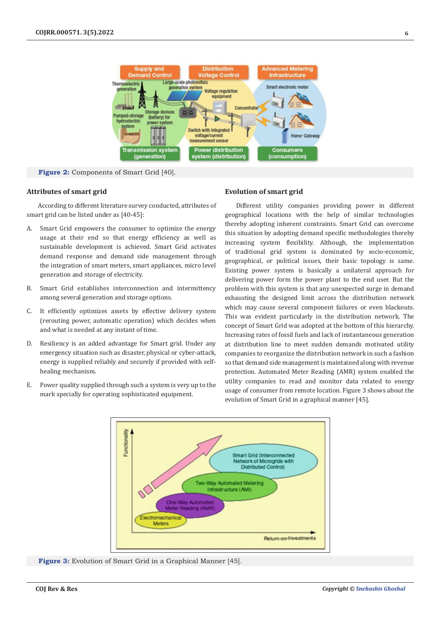

**Figure 2:** Components of Smart Grid [40].

# **Attributes of smart grid**

According to different literature survey conducted, attributes of smart grid can be listed under as [40-45]:

- A. Smart Grid empowers the consumer to optimize the energy usage at their end so that energy efficiency as well as sustainable development is achieved. Smart Grid activates demand response and demand side management through the integration of smart meters, smart appliances, micro level generation and storage of electricity.
- B. Smart Grid establishes interconnection and intermittency among several generation and storage options.
- C. It efficiently optimizes assets by effective delivery system (rerouting power, automatic operation) which decides when and what is needed at any instant of time.
- D. Resiliency is an added advantage for Smart grid. Under any emergency situation such as disaster, physical or cyber-attack, energy is supplied reliably and securely if provided with selfhealing mechanism.
- E. Power quality supplied through such a system is very up to the mark specially for operating sophisticated equipment.

# **Evolution of smart grid**

Different utility companies providing power in different geographical locations with the help of similar technologies thereby adopting inherent constraints. Smart Grid can overcome this situation by adopting demand specific methodologies thereby increasing system flexibility. Although, the implementation of traditional grid system is dominated by socio-economic, geographical, or political issues, their basic topology is same. Existing power system is basically a unilateral approach for delivering power form the power plant to the end user. But the problem with this system is that any unexpected surge in demand exhausting the designed limit across the distribution network which may cause several component failures or even blackouts. This was evident particularly in the distribution network. The concept of Smart Grid was adopted at the bottom of this hierarchy. Increasing rates of fossil fuels and lack of instantaneous generation at distribution line to meet sudden demands motivated utility companies to reorganize the distribution network in such a fashion so that demand side management is maintained along with revenue protection. Automated Meter Reading (AMR) system enabled the utility companies to read and monitor data related to energy usage of consumer from remote location. Figure 3 shows about the evolution of Smart Grid in a graphical manner [45].



**Figure 3:** Evolution of Smart Grid in a Graphical Manner [45].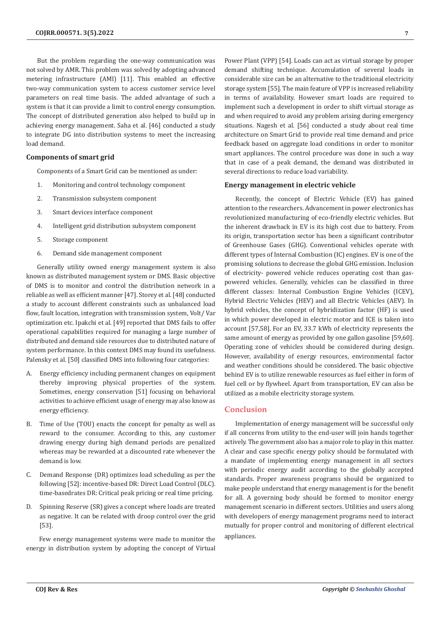But the problem regarding the one-way communication was not solved by AMR. This problem was solved by adopting advanced metering infrastructure (AMI) [11]. This enabled an effective two-way communication system to access customer service level parameters on real time basis. The added advantage of such a system is that it can provide a limit to control energy consumption. The concept of distributed generation also helped to build up in achieving energy management. Saha et al. [46] conducted a study to integrate DG into distribution systems to meet the increasing load demand.

## **Components of smart grid**

Components of a Smart Grid can be mentioned as under:

- 1. Monitoring and control technology component
- 2. Transmission subsystem component
- 3. Smart devices interface component
- 4. Intelligent grid distribution subsystem component
- 5. Storage component
- 6. Demand side management component

Generally utility owned energy management system is also known as distributed management system or DMS. Basic objective of DMS is to monitor and control the distribution network in a reliable as well as efficient manner [47]. Storey et al. [48] conducted a study to account different constraints such as unbalanced load flow, fault location, integration with transmission system, Volt/ Var optimization etc. Ipakchi et al. [49] reported that DMS fails to offer operational capabilities required for managing a large number of distributed and demand side resources due to distributed nature of system performance. In this context DMS may found its usefulness. Palensky et al. [50] classified DMS into following four categories:

- A. Energy efficiency including permanent changes on equipment thereby improving physical properties of the system. Sometimes, energy conservation [51] focusing on behavioral activities to achieve efficient usage of energy may also know as energy efficiency.
- B. Time of Use (TOU) enacts the concept for penalty as well as reward to the consumer. According to this, any customer drawing energy during high demand periods are penalized whereas may be rewarded at a discounted rate whenever the demand is low.
- C. Demand Response (DR) optimizes load scheduling as per the following [52]: incentive-based DR: Direct Load Control (DLC). time-basedrates DR: Critical peak pricing or real time pricing.
- D. Spinning Reserve (SR) gives a concept where loads are treated as negative. It can be related with droop control over the grid [53].

 Few energy management systems were made to monitor the energy in distribution system by adopting the concept of Virtual

Power Plant (VPP) [54]. Loads can act as virtual storage by proper demand shifting technique. Accumulation of several loads in considerable size can be an alternative to the traditional electricity storage system [55]. The main feature of VPP is increased reliability in terms of availability. However smart loads are required to implement such a development in order to shift virtual storage as and when required to avoid any problem arising during emergency situations. Nagesh et al. [56] conducted a study about real time architecture on Smart Grid to provide real time demand and price feedback based on aggregate load conditions in order to monitor smart appliances. The control procedure was done in such a way that in case of a peak demand, the demand was distributed in several directions to reduce load variability.

### **Energy management in electric vehicle**

Recently, the concept of Electric Vehicle (EV) has gained attention to the researchers. Advancement in power electronics has revolutionized manufacturing of eco-friendly electric vehicles. But the inherent drawback in EV is its high cost due to battery. From its origin, transportation sector has been a significant contributor of Greenhouse Gases (GHG). Conventional vehicles operate with different types of Internal Combustion (IC) engines. EV is one of the promising solutions to decrease the global GHG emission. Inclusion of electricity- powered vehicle reduces operating cost than gaspowered vehicles. Generally, vehicles can be classified in three different classes: Internal Combustion Engine Vehicles (ICEV), Hybrid Electric Vehicles (HEV) and all Electric Vehicles (AEV). In hybrid vehicles, the concept of hybridization factor (HF) is used in which power developed in electric motor and ICE is taken into account [57,58]. For an EV, 33.7 kWh of electricity represents the same amount of energy as provided by one gallon gasoline [59,60]. Operating zone of vehicles should be considered during design. However, availability of energy resources, environmental factor and weather conditions should be considered. The basic objective behind EV is to utilize renewable resources as fuel either in form of fuel cell or by flywheel. Apart from transportation, EV can also be utilized as a mobile electricity storage system.

# **Conclusion**

Implementation of energy management will be successful only if all concerns from utility to the end-user will join hands together actively. The government also has a major role to play in this matter. A clear and case specific energy policy should be formulated with a mandate of implementing energy management in all sectors with periodic energy audit according to the globally accepted standards. Proper awareness programs should be organized to make people understand that energy management is for the benefit for all. A governing body should be formed to monitor energy management scenario in different sectors. Utilities and users along with developers of energy management programs need to interact mutually for proper control and monitoring of different electrical appliances.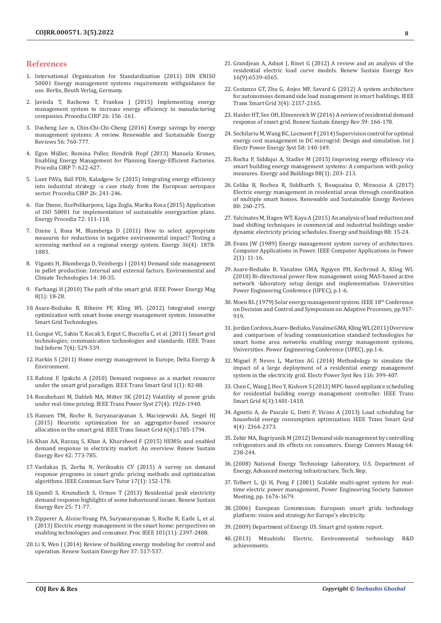## **References**

- 1. International Organization for Standardization (2011) DIN ENISO 50001 Energy management systems requirements withguidance for use. Berlin, Beuth Verlag, Germany.
- 2. Javieda T, Rackowa T, Frankea J (2015) Implementing energy management system to increase energy efficiency in manufacturing companies. Procedia CIRP 26: 156 -161.
- 3. Dasheng Lee n, Chin-Chi-Chi-Cheng (2016) Energy savings by energy management systems: A review. Renewable and Sustainable Energy Reviews 56: 760-777.
- 4. Egon Müller, Romina Poller, Hendrik Hopf (2013) Manuela Krones, Enabling Energy Management for Planning Energy-Efficient Factories. Procedia CIRP 7: 622-627.
- 5. Lunt PAVa, Ball PDb, Kaladgew Sc (2015) Integrating energy efficiency into industrial strategy -a case study from the European aerospace sector. Procedia CIRP 26: 241-246.
- 6. Ilze Dzene, IlzePolikarpova, Liga Zogla, Marika Rosa (2015) Application of ISO 50001 for implementation of sustainable energyaction plans. Energy Procedia 72: 111-118.
- 7. Dzene I, Rosa M, Blumberga D (2011) How to select appropriate measures for reductions in negative environmental impact? Testing a screening method on a regional energy system. Energy 36(4): 1878- 1883.
- 8. Vigants H, Blumberga D, Veinbergs I (2014) Demand side management in pellet production: Internal and external factors. Environmental and Climate Technologies 14: 30-35.
- 9. Farhangi H (2010) The path of the smart grid. IEEE Power Energy Mag 8(1): 18-28.
- 10. Asare-Bediako B, Ribeiro PF, Kling WL (2012) Integrated energy optimization with smart home energy management system. Innovative Smart Grid Technologies.
- 11. Gungor VC, Sahin T, Kocak S, Ergut C, Buccella C, et al. (2011) Smart grid technologies; communication technologies and standards. IEEE Trans Ind Inform 7(4): 529-539.
- 12. Harkin S (2011) Home energy management in Europe, Delta Energy & Environment.
- 13. Rahimi F, Ipakchi A (2010) Demand response as a market resource under the smart grid paradigm. IEEE Trans Smart Grid 1(1): 82-88.
- 14. Roozbehani M, Dahleh MA, Mitter SK (2012) Volatility of power grids under real-time pricing. IEEE Trans Power Syst 27(4): 1926-1940.
- 15. Hansen TM, Roche R, Suryanarayanan S, Maciejewski AA, Siegel HJ (2015) Heuristic optimization for an aggregator-based resource allocation in the smart grid. IEEE Trans Smart Grid 6(4):1785-1794.
- 16. Khan AA, Razzaq S, Khan A, Khursheed F (2015) HEMSs and enabled demand response in electricity market: An overview. Renew Sustain Energy Rev 42: 773-785.
- 17. Vardakas JS, Zorba N, Verikoukis CV (2015) A survey on demand response programs in smart grids: pricing methods and optimization algorithms. IEEE Commun Surv Tutor 17(1): 152-178.
- 18. Gyamfi S, Krumdieck S, Urmee T (2013) Residential peak electricity demand response highlights of some behavioural issues. Renew Sustain Energy Rev 25: 71-77.
- 19. Zipperer A, Aloise-Young PA, Suryanarayanan S, Roche R, Earle L, et al. (2013) Electric energy management in the smart home: perspectives on enabling technologies and consumer. Proc IEEE 101(11): 2397-2408.
- 20. Li X, Wen J (2014) Review of building energy modeling for control and operation. Renew Sustain Energy Rev 37: 517-537.
- 21. Grandjean A, Adnot J, Binet G (2012) A review and an analysis of the residential electric load curve models. Renew Sustain Energy Rev 16(9):6539-6565.
- 22. Costanzo GT, Zhu G, Anjos MF, Savard G (2012) A system architecture for autonomous demand side load management in smart buildings. IEEE Trans Smart Grid 3(4): 2157-2165.
- 23. Haider HT, See OH, Elmenreich W (2016) A review of residential demand response of smart grid. Renew Sustain Energy Rev 59: 166-178.
- 24. Sechilariu M, Wang BC, Locment F (2014) Supervision control for optimal energy cost management in DC microgrid: Design and simulation. Int J Electr Power Energy Syst 58: 140-149.
- 25. Rocha P, Siddiqui A, Stadler M (2015) Improving energy efficiency via smart building energy management systems: A comparison with policy measures. Energy and Buildings 88(1): 203- 213.
- 26. Celika B, Rochea R, Siddharth S, Bouquaina D, Miraouia A (2017) Electric energy management in residential areas through coordination of multiple smart homes. Renewable and Sustainable Energy Reviews 80: 260-275.
- 27. Yalcinates M, Hagen WT, Kaya A (2015) An analysis of load reduction and load shifting techniques in commercial and industrial buildings under dynamic electricity pricing schedules. Energy and buildings 88: 15-24.
- 28. Evans JW (1989) Energy management system survey of architectures. Computer Applications in Power. IEEE Computer Applications in Power 2(1): 11-16.
- 29. Asare-Bediako B, Vanalme GMA, Nguyen PH, Kechroud A, Kling WL (2010) Bi-directional power flow management using MAS-based active network -laboratory setup design and implementation. Universities Power Engineering Conference (UPEC), p.1-6.
- 30. Moen RL (1979) Solar energy management system. IEEE 18th Conference on Decision and Control and Symposium on Adaptive Processes, pp.917- 919.
- 31. Jordan Cordova, Asare-Bediako, Vanalme GMA, Kling WL (2011) Overview and comparison of leading communication standard technologies for smart home area networks enabling energy management systems, Universities. Power Engineering Conference (UPEC), pp.1-6.
- 32. Miguel P, Neves L, Martins AG (2014) Methodology to simulate the impact of a large deployment of a residential energy management system in the electricity grid. Electr Power Syst Res 116: 399-407.
- 33. Chen C, Wang J, Heo Y, Kishore S (2013) MPC-based appliance scheduling for residential building energy management controller. IEEE Trans Smart Grid 4(3):1401-1410.
- 34. Agnetis A, de Pascale G, Detti P, Vicino A (2013) Load scheduling for household energy consumption optimization. IEEE Trans Smart Grid 4(4): 2364-2373.
- 35. Zehir MA, Bagriyanik M (2012) Demand side management by controlling refrigerators and its effects on consumers. Energy Convers Manag 64: 238-244.
- 36.(2008) National Energy Technology Laboratory, U.S. Department of Energy, Advanced metering infrastructure, Tech. Rep.
- 37. Tolbert L, Qi H, Peng F (2001) Scalable multi-agent system for realtime electric power management, Power Engineering Society Summer Meeting, pp. 1676-1679.
- 38.(2006) European Commission. European smart grids technology platform: vision and strategy for Europe's electricity.
- 39.(2009) Department of Energy US. Smart grid system report.
- 40.(2013) Mitsubishi Electric. Environmental technology R&D achievements.